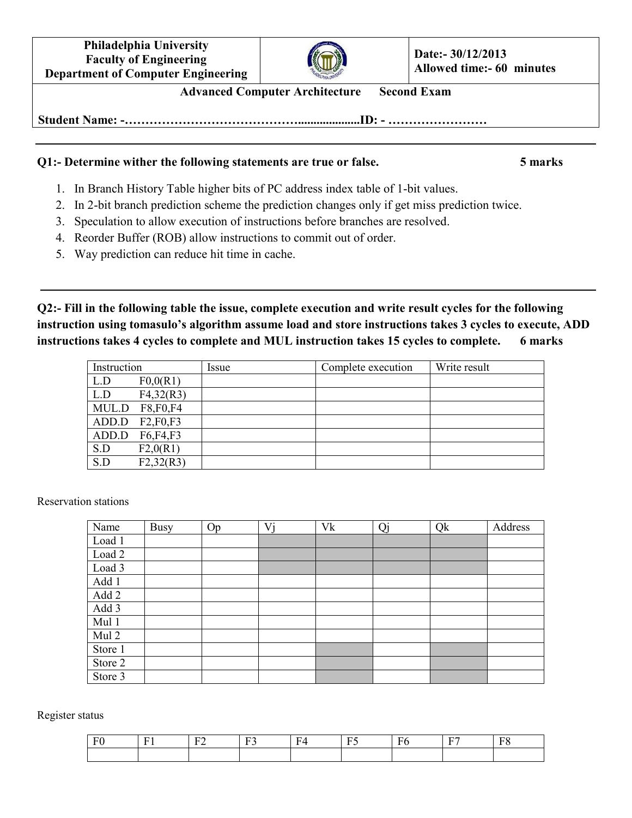**Philadelphia University Faculty of Engineering Department of Computer Engineering**



**Advanced Computer Architecture Second Exam** 

**Student Name: -……………………………………....................ID: - ……………………**

## **Q1:- Determine wither the following statements are true or false. 5 marks**

- 1. In Branch History Table higher bits of PC address index table of 1-bit values.
- 2. In 2-bit branch prediction scheme the prediction changes only if get miss prediction twice.
- 3. Speculation to allow execution of instructions before branches are resolved.
- 4. Reorder Buffer (ROB) allow instructions to commit out of order.
- 5. Way prediction can reduce hit time in cache.

**Q2:- Fill in the following table the issue, complete execution and write result cycles for the following instruction using tomasulo's algorithm assume load and store instructions takes 3 cycles to execute, ADD instructions takes 4 cycles to complete and MUL instruction takes 15 cycles to complete. 6 marks** 

| Instruction |                | Issue | Complete execution | Write result |
|-------------|----------------|-------|--------------------|--------------|
| L.D         | F0,0(R1)       |       |                    |              |
| L.D         | F4,32(R3)      |       |                    |              |
|             | MUL.D F8,F0,F4 |       |                    |              |
| ADD.D       | F2,F0,F3       |       |                    |              |
| ADD.D       | F6,F4,F3       |       |                    |              |
| S.D         | F2,0(R1)       |       |                    |              |
| S.D         | F2,32(R3)      |       |                    |              |

Reservation stations

| Name    | <b>Busy</b> | Op | Vi | Vk | Qj | Qk | Address |
|---------|-------------|----|----|----|----|----|---------|
| Load 1  |             |    |    |    |    |    |         |
| Load 2  |             |    |    |    |    |    |         |
| Load 3  |             |    |    |    |    |    |         |
| Add 1   |             |    |    |    |    |    |         |
| Add 2   |             |    |    |    |    |    |         |
| Add 3   |             |    |    |    |    |    |         |
| Mul 1   |             |    |    |    |    |    |         |
| Mul 2   |             |    |    |    |    |    |         |
| Store 1 |             |    |    |    |    |    |         |
| Store 2 |             |    |    |    |    |    |         |
| Store 3 |             |    |    |    |    |    |         |

Register status

| $\sim$ | $\overline{\phantom{0}}$ | $\Gamma$ | $\mathbf{L}$<br>$\sim$ $\sim$ | - | ____<br>$\sim$ | –<br>. . | --<br>н | $\mathbf{r}$<br>. . |
|--------|--------------------------|----------|-------------------------------|---|----------------|----------|---------|---------------------|
|        |                          |          |                               |   |                |          |         |                     |